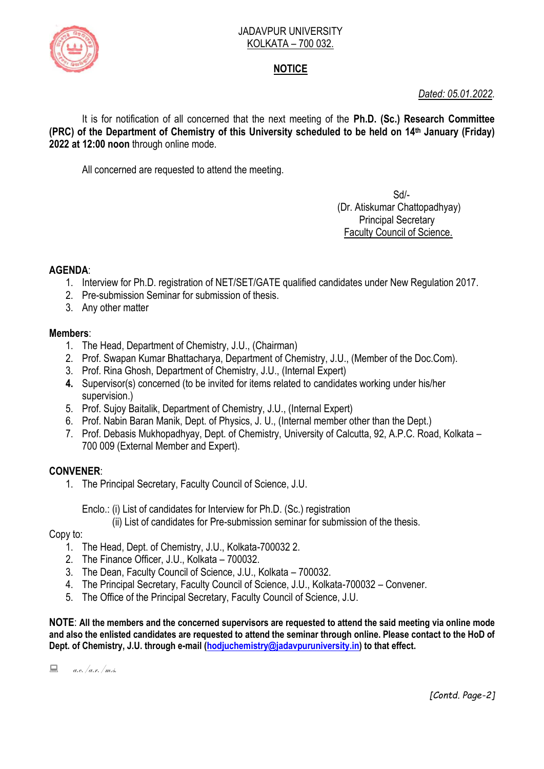

#### JADAVPUR UNIVERSITY KOLKATA – 700 032.

# **NOTICE**

*Dated: 05.01.2022.*

It is for notification of all concerned that the next meeting of the **Ph.D. (Sc.) Research Committee (PRC) of the Department of Chemistry of this University scheduled to be held on 14th January (Friday) 2022 at 12:00 noon** through online mode.

All concerned are requested to attend the meeting.

 Sd/- (Dr. Atiskumar Chattopadhyay) Principal Secretary Faculty Council of Science.

## **AGENDA**:

- 1. Interview for Ph.D. registration of NET/SET/GATE qualified candidates under New Regulation 2017.
- 2. Pre-submission Seminar for submission of thesis.
- 3. Any other matter

## **Members**:

- 1. The Head, Department of Chemistry, J.U., (Chairman)
- 2. Prof. Swapan Kumar Bhattacharya, Department of Chemistry, J.U., (Member of the Doc.Com).
- 3. Prof. Rina Ghosh, Department of Chemistry, J.U., (Internal Expert)
- **4.** Supervisor(s) concerned (to be invited for items related to candidates working under his/her supervision.)
- 5. Prof. Sujoy Baitalik, Department of Chemistry, J.U., (Internal Expert)
- 6. Prof. Nabin Baran Manik, Dept. of Physics, J. U., (Internal member other than the Dept.)
- 7. Prof. Debasis Mukhopadhyay, Dept. of Chemistry, University of Calcutta, 92, A.P.C. Road, Kolkata 700 009 (External Member and Expert).

## **CONVENER**:

1. The Principal Secretary, Faculty Council of Science, J.U.

Enclo.: (i) List of candidates for Interview for Ph.D. (Sc.) registration

(ii) List of candidates for Pre-submission seminar for submission of the thesis.

### Copy to:

- 1. The Head, Dept. of Chemistry, J.U., Kolkata-700032 2.
- 2. The Finance Officer, J.U., Kolkata 700032.
- 3. The Dean, Faculty Council of Science, J.U., Kolkata 700032.
- 4. The Principal Secretary, Faculty Council of Science, J.U., Kolkata-700032 Convener.
- 5. The Office of the Principal Secretary, Faculty Council of Science, J.U.

**NOTE**: **All the members and the concerned supervisors are requested to attend the said meeting via online mode and also the enlisted candidates are requested to attend the seminar through online. Please contact to the HoD of Dept. of Chemistry, J.U. through e-mail [\(hodjuchemistry@jadavpuruniversity.in\)](mailto:hodjuchemistry@jadavpuruniversity.in) to that effect.**

 $\Box$  a.e. /a.r./m.s.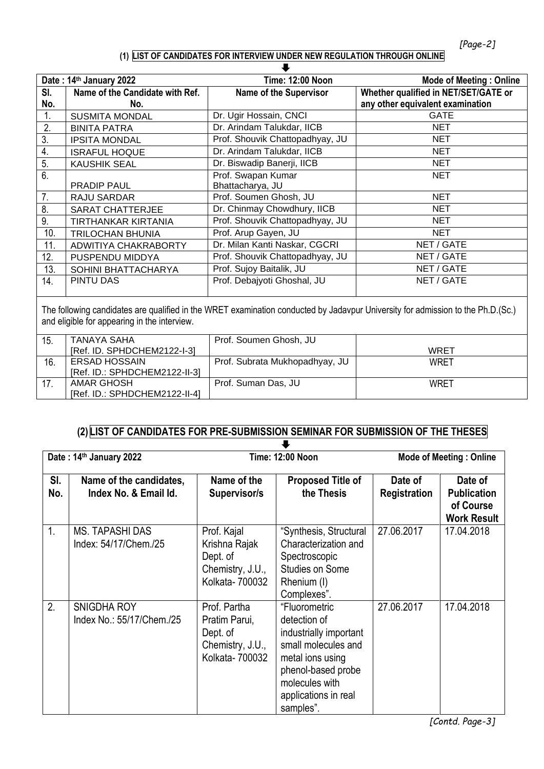### **(1) LIST OF CANDIDATES FOR INTERVIEW UNDER NEW REGULATION THROUGH ONLINE**

| Date: 14th January 2022                                                                                                                                                         |                                                           | <b>Time: 12:00 Noon</b>         | <b>Mode of Meeting: Online</b>       |  |
|---------------------------------------------------------------------------------------------------------------------------------------------------------------------------------|-----------------------------------------------------------|---------------------------------|--------------------------------------|--|
| SI.                                                                                                                                                                             | Name of the Candidate with Ref.                           | <b>Name of the Supervisor</b>   | Whether qualified in NET/SET/GATE or |  |
| No.                                                                                                                                                                             | No.                                                       |                                 | any other equivalent examination     |  |
| 1.                                                                                                                                                                              | <b>SUSMITA MONDAL</b>                                     | Dr. Ugir Hossain, CNCI          | <b>GATE</b>                          |  |
| 2.                                                                                                                                                                              | <b>BINITA PATRA</b>                                       | Dr. Arindam Talukdar, IICB      | <b>NET</b>                           |  |
| 3.                                                                                                                                                                              | <b>IPSITA MONDAL</b>                                      | Prof. Shouvik Chattopadhyay, JU | <b>NET</b>                           |  |
| 4.                                                                                                                                                                              | <b>ISRAFUL HOQUE</b>                                      | Dr. Arindam Talukdar, IICB      | <b>NET</b>                           |  |
| 5.                                                                                                                                                                              | <b>KAUSHIK SEAL</b>                                       | Dr. Biswadip Banerji, IICB      | <b>NET</b>                           |  |
| 6.                                                                                                                                                                              |                                                           | Prof. Swapan Kumar              | <b>NET</b>                           |  |
|                                                                                                                                                                                 | <b>PRADIP PAUL</b>                                        | Bhattacharya, JU                |                                      |  |
| 7 <sub>1</sub>                                                                                                                                                                  | <b>RAJU SARDAR</b>                                        | Prof. Soumen Ghosh, JU          | <b>NET</b>                           |  |
| 8.                                                                                                                                                                              | <b>SARAT CHATTERJEE</b>                                   | Dr. Chinmay Chowdhury, IICB     | <b>NET</b>                           |  |
| 9.                                                                                                                                                                              | TIRTHANKAR KIRTANIA                                       | Prof. Shouvik Chattopadhyay, JU | <b>NET</b>                           |  |
| 10.                                                                                                                                                                             | <b>TRILOCHAN BHUNIA</b>                                   | Prof. Arup Gayen, JU            | <b>NET</b>                           |  |
| 11.                                                                                                                                                                             | ADWITIYA CHAKRABORTY                                      | Dr. Milan Kanti Naskar, CGCRI   | NET / GATE                           |  |
| 12.                                                                                                                                                                             | PUSPENDU MIDDYA                                           | Prof. Shouvik Chattopadhyay, JU | NET / GATE                           |  |
| 13.                                                                                                                                                                             | SOHINI BHATTACHARYA                                       | Prof. Sujoy Baitalik, JU        | NET / GATE                           |  |
| 14.                                                                                                                                                                             | PINTU DAS                                                 | Prof. Debajyoti Ghoshal, JU     | NET / GATE                           |  |
|                                                                                                                                                                                 |                                                           |                                 |                                      |  |
| The following candidates are qualified in the WRET examination conducted by Jadavpur University for admission to the Ph.D.(Sc.)<br>and eligible for appearing in the interview. |                                                           |                                 |                                      |  |
| 15.                                                                                                                                                                             | <b>TANAYA SAHA</b><br>$IRaf$ in $R$ $PLN$ $PLM$ $21$ $22$ | Prof. Soumen Ghosh, JU          | <b>MRET</b>                          |  |

| 15. | TANAYA SAHA                   | Prof. Soumen Ghosh, JU         |      |
|-----|-------------------------------|--------------------------------|------|
|     | [Ref. ID. SPHDCHEM2122-I-3]   |                                | WRET |
| 16  | ERSAD HOSSAIN                 | Prof. Subrata Mukhopadhyay, JU | WRET |
|     | [Ref. ID.: SPHDCHEM2122-II-3] |                                |      |
|     | AMAR GHOSH                    | Prof. Suman Das, JU            | WRET |
|     | [Ref. ID.: SPHDCHEM2122-II-4] |                                |      |

## **(2) LIST OF CANDIDATES FOR PRE-SUBMISSION SEMINAR FOR SUBMISSION OF THE THESES**

| Date: 14th January 2022 |                                                  | <b>Time: 12:00 Noon</b>                                                          |                                                                                                                                                                                 | <b>Mode of Meeting: Online</b> |                                                                  |
|-------------------------|--------------------------------------------------|----------------------------------------------------------------------------------|---------------------------------------------------------------------------------------------------------------------------------------------------------------------------------|--------------------------------|------------------------------------------------------------------|
| SI.<br>No.              | Name of the candidates,<br>Index No. & Email Id. | Name of the<br>Supervisor/s                                                      | <b>Proposed Title of</b><br>the Thesis                                                                                                                                          | Date of<br><b>Registration</b> | Date of<br><b>Publication</b><br>of Course<br><b>Work Result</b> |
| 1.                      | <b>MS. TAPASHI DAS</b><br>Index: 54/17/Chem./25  | Prof. Kajal<br>Krishna Rajak<br>Dept. of<br>Chemistry, J.U.,<br>Kolkata- 700032  | "Synthesis, Structural<br>Characterization and<br>Spectroscopic<br><b>Studies on Some</b><br>Rhenium (I)<br>Complexes".                                                         | 27.06.2017                     | 17.04.2018                                                       |
| 2.                      | <b>SNIGDHA ROY</b><br>Index No.: 55/17/Chem./25  | Prof. Partha<br>Pratim Parui,<br>Dept. of<br>Chemistry, J.U.,<br>Kolkata- 700032 | "Fluorometric<br>detection of<br>industrially important<br>small molecules and<br>metal ions using<br>phenol-based probe<br>molecules with<br>applications in real<br>samples". | 27.06.2017                     | 17.04.2018                                                       |

*[Contd. Page-3]*